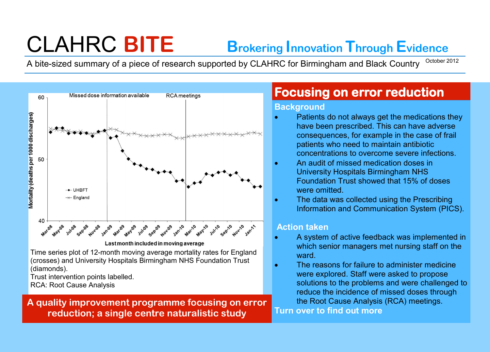# CLAHRC **BITE Brokering Innovation Through Evidence**

A bite-sized summary of a piece of research supported by CLAHRC for Birmingham and Black Country October 2012



Time series plot of 12-month moving average mortality rates for England (crosses) and University Hospitals Birmingham NHS Foundation Trust (diamonds).

Trust intervention points labelled.

RCA: Root Cause Analysis

**A quality improvement programme focusing on error reduction; a single centre naturalistic study**

# **Focusing on error reduction**

## **Background**

- Patients do not always get the medications they have been prescribed. This can have adverse consequences, for example in the case of frail patients who need to maintain antibiotic concentrations to overcome severe infections.
- An audit of missed medication doses in University Hospitals Birmingham NHS Foundation Trust showed that 15% of doses were omitted.
- The data was collected using the Prescribing Information and Communication System (PICS).

# **Action taken**

- A system of active feedback was implemented in which senior managers met nursing staff on the ward.
- The reasons for failure to administer medicine were explored. Staff were asked to propose solutions to the problems and were challenged to reduce the incidence of missed doses through the Root Cause Analysis (RCA) meetings.

**Turn over to find out more**